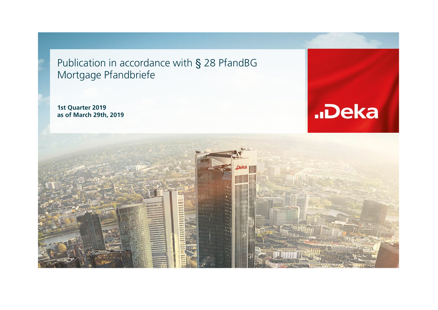Publication in accordance with § 28 PfandBGMortgage Pfandbriefe

**1st Quarter 2019as of March 29th, 2019**



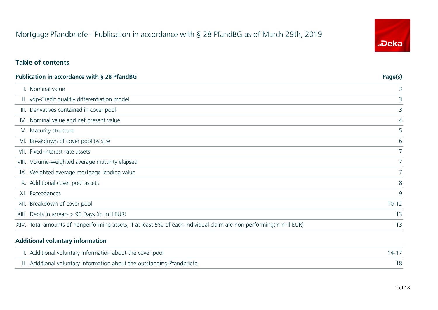## **Table of contents**

| <b>Publication in accordance with § 28 PfandBG</b>                                                                   | Page(s)       |
|----------------------------------------------------------------------------------------------------------------------|---------------|
| I. Nominal value                                                                                                     | 3             |
| II. vdp-Credit qualitiy differentiation model                                                                        | 3             |
| Derivatives contained in cover pool<br>III.                                                                          | 3             |
| IV. Nominal value and net present value                                                                              | 4             |
| V. Maturity structure                                                                                                | 5             |
| Breakdown of cover pool by size<br>VI.                                                                               | 6             |
| VII. Fixed-interest rate assets                                                                                      | 7             |
| VIII. Volume-weighted average maturity elapsed                                                                       | $\mathcal{I}$ |
| IX. Weighted average mortgage lending value                                                                          | 7             |
| X. Additional cover pool assets                                                                                      | 8             |
| Exceedances<br>XI.                                                                                                   | 9             |
| Breakdown of cover pool<br>XII.                                                                                      | $10 - 12$     |
| Debts in arrears > 90 Days (in mill EUR)<br>XIII.                                                                    | 13            |
| XIV. Total amounts of nonperforming assets, if at least 5% of each individual claim are non performing (in mill EUR) | 13            |

#### **Additional voluntary information**

| I. Additional voluntary information about the cover pool               |  |
|------------------------------------------------------------------------|--|
| II. Additional voluntary information about the outstanding Pfandbriefe |  |

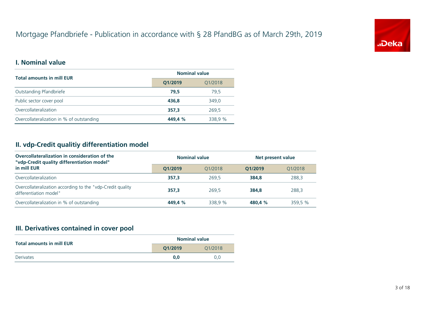

### **I. Nominal value**

| <b>Total amounts in mill EUR</b>          | <b>Nominal value</b> |         |  |
|-------------------------------------------|----------------------|---------|--|
|                                           | Q1/2019              |         |  |
| Outstanding Pfandbriefe                   | 79.5                 | 79.5    |  |
| Public sector cover pool                  | 436.8                | 349.0   |  |
| Overcollateralization                     | 357.3                | 269.5   |  |
| Overcollateralization in % of outstanding | 449.4 %              | 338,9 % |  |
|                                           |                      |         |  |

# **II. vdp-Credit qualitiy differentiation model**

| Overcollateralization in consideration of the<br>"vdp-Credit quality differentiation model" | <b>Nominal value</b> |         |         | Net present value |  |  |
|---------------------------------------------------------------------------------------------|----------------------|---------|---------|-------------------|--|--|
| in mill EUR                                                                                 | O1/2019              | 01/2018 | O1/2019 | 01/2018           |  |  |
| Overcollateralization                                                                       | 357.3                | 269.5   | 384.8   | 288.3             |  |  |
| Overcollateralization according to the "vdp-Credit quality<br>differentiation model"        | 357.3                | 269.5   | 384.8   | 288.3             |  |  |
| Overcollateralization in % of outstanding                                                   | 449.4 %              | 338.9 % | 480.4 % | 359.5 %           |  |  |

# **III. Derivatives contained in cover pool**

| <b>Total amounts in mill EUR</b> |                    | <b>Nominal value</b> |
|----------------------------------|--------------------|----------------------|
|                                  | O1/2019<br>01/2018 |                      |
| <b>Derivates</b>                 | 0.0                | 0.0                  |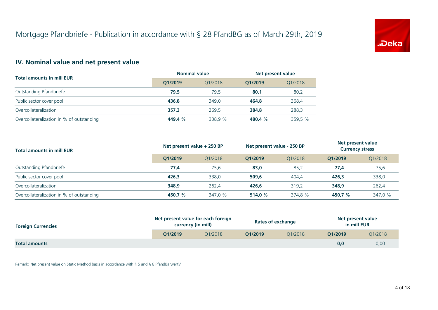

# **IV. Nominal value and net present value**

|                                           | <b>Nominal value</b> |         | Net present value |         |  |
|-------------------------------------------|----------------------|---------|-------------------|---------|--|
| <b>Total amounts in mill EUR</b>          | O1/2019              | 01/2018 | O1/2019           | 01/2018 |  |
| Outstanding Pfandbriefe                   | 79,5                 | 79,5    | 80,1              | 80,2    |  |
| Public sector cover pool                  | 436.8                | 349.0   | 464.8             | 368,4   |  |
| Overcollateralization                     | 357.3                | 269.5   | 384.8             | 288,3   |  |
| Overcollateralization in % of outstanding | 449.4 %              | 338.9 % | 480.4 %           | 359,5 % |  |

| <b>Total amounts in mill EUR</b>          | Net present value + 250 BP |         | Net present value - 250 BP |         | Net present value<br><b>Currency stress</b> |         |
|-------------------------------------------|----------------------------|---------|----------------------------|---------|---------------------------------------------|---------|
|                                           | O1/2019                    | 01/2018 | O1/2019                    | 01/2018 | O1/2019                                     | 01/2018 |
| Outstanding Pfandbriefe                   | 77,4                       | 75,6    | 83,0                       | 85,2    | 77,4                                        | 75,6    |
| Public sector cover pool                  | 426.3                      | 338.0   | 509.6                      | 404,4   | 426.3                                       | 338,0   |
| Overcollateralization                     | 348.9                      | 262,4   | 426.6                      | 319,2   | 348,9                                       | 262,4   |
| Overcollateralization in % of outstanding | 450.7 %                    | 347.0 % | 514.0 %                    | 374.8 % | 450.7 %                                     | 347,0 % |

| <b>Foreign Currencies</b> | Net present value for each foreign<br>currency (in mill) |         |         | <b>Rates of exchange</b> | Net present value<br>in mill EUR |         |
|---------------------------|----------------------------------------------------------|---------|---------|--------------------------|----------------------------------|---------|
|                           | O1/2019                                                  | 01/2018 | O1/2019 | 01/2018                  | O1/2019                          | Q1/2018 |
| <b>Total amounts</b>      |                                                          |         |         |                          | 0,0                              | 0,00    |

Remark: Net present value on Static Method basis in accordance with § 5 and § 6 PfandBarwertV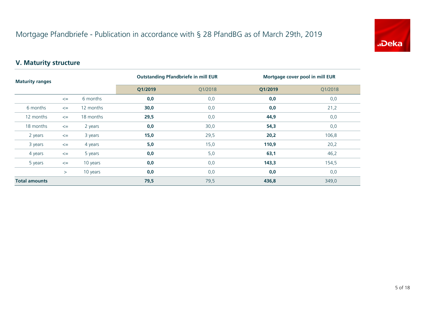

# **V. Maturity structure**

| <b>Maturity ranges</b> |        | <b>Outstanding Pfandbriefe in mill EUR</b> |         | Mortgage cover pool in mill EUR |         |         |
|------------------------|--------|--------------------------------------------|---------|---------------------------------|---------|---------|
|                        |        |                                            | Q1/2019 | Q1/2018                         | Q1/2019 | Q1/2018 |
|                        | $\leq$ | 6 months                                   | 0,0     | 0,0                             | 0,0     | 0,0     |
| 6 months               | $\leq$ | 12 months                                  | 30,0    | 0,0                             | 0,0     | 21,2    |
| 12 months              | $\leq$ | 18 months                                  | 29,5    | 0,0                             | 44,9    | 0,0     |
| 18 months              | $\leq$ | 2 years                                    | 0,0     | 30,0                            | 54,3    | 0,0     |
| 2 years                | $\leq$ | 3 years                                    | 15,0    | 29,5                            | 20,2    | 106,8   |
| 3 years                | $\leq$ | 4 years                                    | 5,0     | 15,0                            | 110,9   | 20,2    |
| 4 years                | $\leq$ | 5 years                                    | 0,0     | 5,0                             | 63,1    | 46,2    |
| 5 years                | $\leq$ | 10 years                                   | 0,0     | 0,0                             | 143,3   | 154,5   |
|                        | >      | 10 years                                   | 0,0     | 0,0                             | 0,0     | 0,0     |
| <b>Total amounts</b>   |        |                                            | 79,5    | 79,5                            | 436,8   | 349,0   |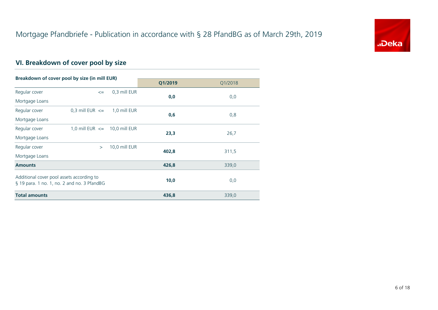

# **VI. Breakdown of cover pool by size**

| Breakdown of cover pool by size (in mill EUR) |                                   |               |         |         |
|-----------------------------------------------|-----------------------------------|---------------|---------|---------|
|                                               |                                   |               | Q1/2019 | Q1/2018 |
| Regular cover                                 | $\leq$                            | 0.3 mill EUR  | 0,0     | 0,0     |
| Mortgage Loans                                |                                   |               |         |         |
| Regular cover                                 | 0,3 mill EUR $\leq$               | 1,0 mill EUR  |         |         |
| Mortgage Loans                                |                                   |               | 0,6     | 0,8     |
| Regular cover                                 | 1,0 mill EUR $\leq$ 10,0 mill EUR |               |         |         |
| Mortgage Loans                                |                                   |               | 23,3    | 26,7    |
| Regular cover                                 | $\geq$                            | 10,0 mill EUR | 402,8   | 311,5   |
| Mortgage Loans                                |                                   |               |         |         |
| <b>Amounts</b>                                |                                   |               | 426,8   | 339,0   |
| Additional cover pool assets according to     |                                   |               |         |         |
| § 19 para. 1 no. 1, no. 2 and no. 3 PfandBG   |                                   |               | 10,0    | 0,0     |
| <b>Total amounts</b>                          |                                   |               | 436,8   | 339,0   |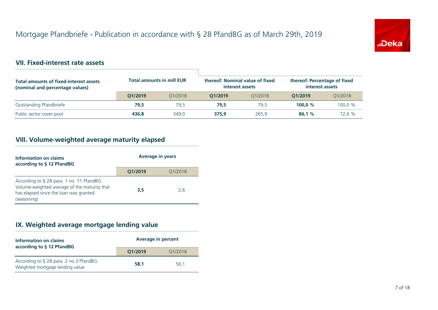

#### **VII. Fixed-interest rate assets**

| Total amounts of fixed-interest assets<br>(nominal and percentage values) | <b>Total amounts in mill EUR</b> |         | thereof: Nominal value of fixed<br>interest assets |         | thereof: Percentage of fixed<br>interest assets |         |
|---------------------------------------------------------------------------|----------------------------------|---------|----------------------------------------------------|---------|-------------------------------------------------|---------|
|                                                                           | O1/2019                          | 01/2018 | O1/2019                                            | 01/2018 | O1/2019                                         | 01/2018 |
| Outstanding Pfandbriefe                                                   | 79,5                             | 79.5    | 79.5                                               | 79.5    | 100.0 $%$                                       | 100,0%  |
| Public sector cover pool                                                  | 436.8                            | 349.0   | 375.9                                              | 265.9   | 86.1%                                           | 72,6 %  |

#### **VIII. Volume-weighted average maturity elapsed**

| Information on claims<br>according to § 12 PfandBG                                                                                                 | <b>Average in years</b> |         |  |  |
|----------------------------------------------------------------------------------------------------------------------------------------------------|-------------------------|---------|--|--|
|                                                                                                                                                    | Q1/2019                 | Q1/2018 |  |  |
| According to § 28 para. 1 no. 11 PfandBG:<br>Volume-weighted average of the maturity that<br>has elapsed since the loan was granted<br>(seasoning) | 3.5                     | 2.6     |  |  |

# **IX. Weighted average mortgage lending value**

| Information on claims<br>according to § 12 PfandBG                         | <b>Average in percent</b> |         |
|----------------------------------------------------------------------------|---------------------------|---------|
|                                                                            | O1/2019                   | Q1/2018 |
| According to § 28 para. 2 no.3 PfandBG:<br>Weighted mortgage lending value | 58.1                      | 56.1    |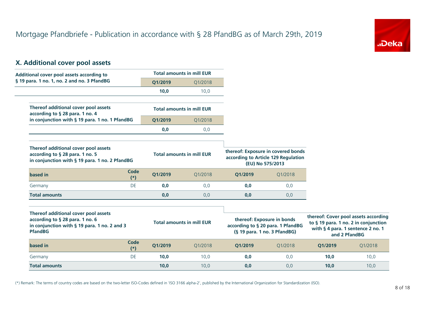

# **X. Additional cover pool assets**

| Additional cover pool assets according to                                                                                                 |               |         | <b>Total amounts in mill EUR</b> |         |                                                                                                 |         |                                                                                                                                    |
|-------------------------------------------------------------------------------------------------------------------------------------------|---------------|---------|----------------------------------|---------|-------------------------------------------------------------------------------------------------|---------|------------------------------------------------------------------------------------------------------------------------------------|
| § 19 para. 1 no. 1, no. 2 and no. 3 PfandBG                                                                                               |               | Q1/2019 | Q1/2018                          |         |                                                                                                 |         |                                                                                                                                    |
|                                                                                                                                           |               | 10,0    | 10,0                             |         |                                                                                                 |         |                                                                                                                                    |
| Thereof additional cover pool assets<br>according to § 28 para. 1 no. 4                                                                   |               |         | <b>Total amounts in mill EUR</b> |         |                                                                                                 |         |                                                                                                                                    |
| in conjunction with § 19 para. 1 no. 1 PfandBG                                                                                            |               | Q1/2019 | Q1/2018                          |         |                                                                                                 |         |                                                                                                                                    |
|                                                                                                                                           |               | 0,0     | 0,0                              |         |                                                                                                 |         |                                                                                                                                    |
| Thereof additional cover pool assets<br>according to § 28 para. 1 no. 5<br>in conjunction with § 19 para. 1 no. 2 PfandBG                 |               |         | <b>Total amounts in mill EUR</b> |         | thereof: Exposure in covered bonds<br>according to Article 129 Regulation<br>(EU) No 575/2013   |         |                                                                                                                                    |
| based in                                                                                                                                  | Code<br>$(*)$ | Q1/2019 | O1/2018                          | O1/2019 | Q1/2018                                                                                         |         |                                                                                                                                    |
| Germany                                                                                                                                   | DE            | 0,0     | 0,0                              | 0,0     | 0,0                                                                                             |         |                                                                                                                                    |
| <b>Total amounts</b>                                                                                                                      |               | 0,0     | 0,0                              | 0,0     | 0,0                                                                                             |         |                                                                                                                                    |
| Thereof additional cover pool assets<br>according to § 28 para. 1 no. 6<br>in conjunction with § 19 para. 1 no. 2 and 3<br><b>PfandBG</b> |               |         | <b>Total amounts in mill EUR</b> |         | thereof: Exposure in bonds<br>according to § 20 para. 1 PfandBG<br>(§ 19 para. 1 no. 3 PfandBG) |         | thereof: Cover pool assets according<br>to § 19 para. 1 no. 2 in conjunction<br>with § 4 para. 1 sentence 2 no. 1<br>and 2 PfandBG |
| based in                                                                                                                                  | Code<br>$(*)$ | Q1/2019 | Q1/2018                          | Q1/2019 | Q1/2018                                                                                         | Q1/2019 | Q1/2018                                                                                                                            |
| Germany                                                                                                                                   | DE            | 10,0    | 10,0                             | 0,0     | 0,0                                                                                             | 10.0    | 10,0                                                                                                                               |
| <b>Total amounts</b>                                                                                                                      |               | 10,0    | 10,0                             | 0,0     | 0,0                                                                                             | 10,0    | 10,0                                                                                                                               |

(\*) Remark: The terms of country codes are based on the two-letter ISO-Codes defined in 'ISO 3166 alpha-2', published by the International Organization for Standardization (ISO).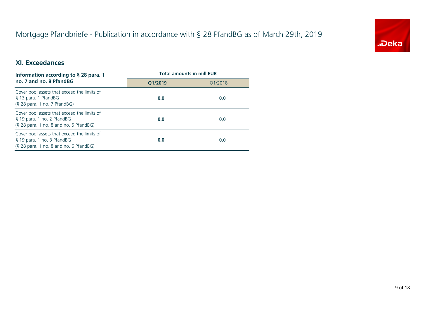

# **XI. Exceedances**

| Information according to $\S$ 28 para. 1                                                                            | <b>Total amounts in mill EUR</b> |         |  |
|---------------------------------------------------------------------------------------------------------------------|----------------------------------|---------|--|
| no. 7 and no. 8 PfandBG                                                                                             | O1/2019                          | 01/2018 |  |
| Cover pool assets that exceed the limits of<br>§ 13 para. 1 PfandBG<br>$(S$ 28 para. 1 no. 7 PfandBG)               | 0,0                              | 0,0     |  |
| Cover pool assets that exceed the limits of<br>§ 19 para. 1 no. 2 PfandBG<br>(§ 28 para. 1 no. 8 and no. 5 PfandBG) | 0,0                              | 0,0     |  |
| Cover pool assets that exceed the limits of<br>§ 19 para. 1 no. 3 PfandBG<br>(§ 28 para. 1 no. 8 and no. 6 PfandBG) | 0,0                              | 0,0     |  |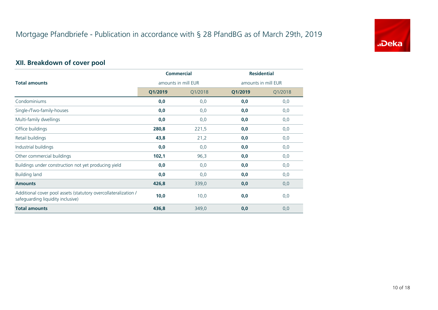

#### **XII. Breakdown of cover pool**

|                                                                                                      | <b>Commercial</b>   |         | <b>Residential</b>  |         |  |
|------------------------------------------------------------------------------------------------------|---------------------|---------|---------------------|---------|--|
| <b>Total amounts</b>                                                                                 | amounts in mill EUR |         | amounts in mill EUR |         |  |
|                                                                                                      | Q1/2019             | Q1/2018 | Q1/2019             | Q1/2018 |  |
| Condominiums                                                                                         | 0,0                 | 0,0     | 0,0                 | 0,0     |  |
| Single-/Two-family-houses                                                                            | 0,0                 | 0,0     | 0,0                 | 0,0     |  |
| Multi-family dwellings                                                                               | 0,0                 | 0,0     | 0,0                 | 0,0     |  |
| Office buildings                                                                                     | 280,8               | 221,5   | 0,0                 | 0,0     |  |
| Retail buildings                                                                                     | 43,8                | 21,2    | 0,0                 | 0,0     |  |
| Industrial buildings                                                                                 | 0,0                 | 0,0     | 0,0                 | 0,0     |  |
| Other commercial buildings                                                                           | 102,1               | 96,3    | 0,0                 | 0,0     |  |
| Buildings under construction not yet producing yield                                                 | 0,0                 | 0,0     | 0,0                 | 0,0     |  |
| <b>Building land</b>                                                                                 | 0,0                 | 0,0     | 0,0                 | 0,0     |  |
| <b>Amounts</b>                                                                                       | 426,8               | 339,0   | 0,0                 | 0,0     |  |
| Additional cover pool assets (statutory overcollateralization /<br>safeguarding liquidity inclusive) | 10,0                | 10,0    | 0,0                 | 0,0     |  |
| <b>Total amounts</b>                                                                                 | 436,8               | 349,0   | 0,0                 | 0,0     |  |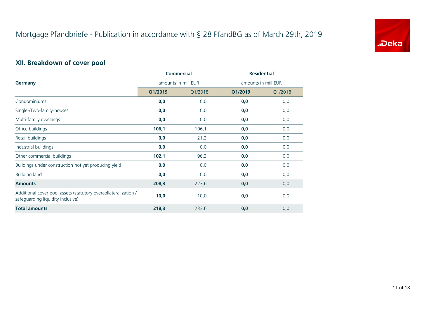

#### **XII. Breakdown of cover pool**

|                                                                                                      | <b>Commercial</b>   |         | <b>Residential</b>  |         |  |
|------------------------------------------------------------------------------------------------------|---------------------|---------|---------------------|---------|--|
| <b>Germany</b>                                                                                       | amounts in mill EUR |         | amounts in mill EUR |         |  |
|                                                                                                      | Q1/2019             | Q1/2018 | Q1/2019             | Q1/2018 |  |
| Condominiums                                                                                         | 0,0                 | 0,0     | 0,0                 | 0,0     |  |
| Single-/Two-family-houses                                                                            | 0,0                 | 0,0     | 0,0                 | 0,0     |  |
| Multi-family dwellings                                                                               | 0,0                 | 0,0     | 0,0                 | 0,0     |  |
| Office buildings                                                                                     | 106,1               | 106,1   | 0,0                 | 0,0     |  |
| Retail buildings                                                                                     | 0,0                 | 21,2    | 0,0                 | 0,0     |  |
| Industrial buildings                                                                                 | 0,0                 | 0,0     | 0,0                 | 0,0     |  |
| Other commercial buildings                                                                           | 102,1               | 96,3    | 0,0                 | 0,0     |  |
| Buildings under construction not yet producing yield                                                 | 0,0                 | 0,0     | 0,0                 | 0,0     |  |
| <b>Building land</b>                                                                                 | 0,0                 | 0,0     | 0,0                 | 0,0     |  |
| <b>Amounts</b>                                                                                       | 208,3               | 223,6   | 0,0                 | 0,0     |  |
| Additional cover pool assets (statutory overcollateralization /<br>safeguarding liquidity inclusive) | 10,0                | 10,0    | 0,0                 | 0,0     |  |
| <b>Total amounts</b>                                                                                 | 218,3               | 233,6   | 0,0                 | 0,0     |  |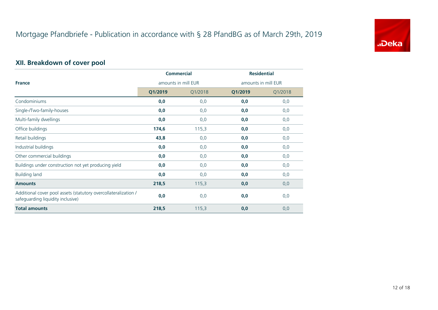

#### **XII. Breakdown of cover pool**

|                                                                                                      | <b>Commercial</b>   |         | <b>Residential</b>  |         |  |
|------------------------------------------------------------------------------------------------------|---------------------|---------|---------------------|---------|--|
| <b>France</b>                                                                                        | amounts in mill EUR |         | amounts in mill EUR |         |  |
|                                                                                                      | Q1/2019             | Q1/2018 | Q1/2019             | Q1/2018 |  |
| Condominiums                                                                                         | 0,0                 | 0,0     | 0,0                 | 0,0     |  |
| Single-/Two-family-houses                                                                            | 0,0                 | 0,0     | 0,0                 | 0,0     |  |
| Multi-family dwellings                                                                               | 0,0                 | 0,0     | 0,0                 | 0,0     |  |
| Office buildings                                                                                     | 174,6               | 115,3   | 0,0                 | 0,0     |  |
| Retail buildings                                                                                     | 43,8                | 0,0     | 0,0                 | 0,0     |  |
| Industrial buildings                                                                                 | 0,0                 | 0,0     | 0,0                 | 0,0     |  |
| Other commercial buildings                                                                           | 0,0                 | 0,0     | 0,0                 | 0,0     |  |
| Buildings under construction not yet producing yield                                                 | 0,0                 | 0,0     | 0,0                 | 0,0     |  |
| <b>Building land</b>                                                                                 | 0,0                 | 0,0     | 0,0                 | 0,0     |  |
| <b>Amounts</b>                                                                                       | 218,5               | 115,3   | 0,0                 | 0,0     |  |
| Additional cover pool assets (statutory overcollateralization /<br>safeguarding liquidity inclusive) | 0,0                 | 0,0     | 0,0                 | 0,0     |  |
| <b>Total amounts</b>                                                                                 | 218,5               | 115,3   | 0,0                 | 0,0     |  |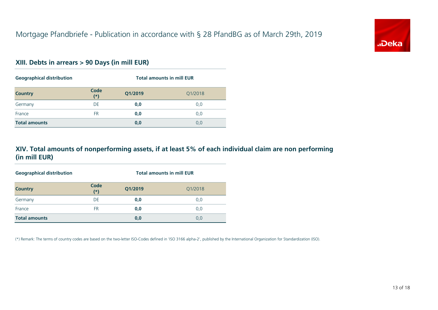

#### **XIII. Debts in arrears > 90 Days (in mill EUR)**

| <b>Geographical distribution</b> |               | <b>Total amounts in mill EUR</b> |         |  |
|----------------------------------|---------------|----------------------------------|---------|--|
| <b>Country</b>                   | Code<br>$(*)$ | Q1/2019                          | Q1/2018 |  |
| Germany                          | DE            | 0,0                              | 0,0     |  |
| France                           | <b>FR</b>     | 0,0                              | 0,0     |  |
| <b>Total amounts</b>             |               | 0,0                              | 0,0     |  |

#### **XIV. Total amounts of nonperforming assets, if at least 5% of each individual claim are non performing(in mill EUR)**

| <b>Geographical distribution</b> |               | <b>Total amounts in mill EUR</b> |         |  |
|----------------------------------|---------------|----------------------------------|---------|--|
| <b>Country</b>                   | Code<br>$(*)$ | Q1/2019                          | Q1/2018 |  |
| Germany                          | DE            | 0,0                              | 0,0     |  |
| France                           | <b>FR</b>     | 0,0                              | 0,0     |  |
| <b>Total amounts</b>             |               | 0,0                              | 0,0     |  |

(\*) Remark: The terms of country codes are based on the two-letter ISO-Codes defined in 'ISO 3166 alpha-2', published by the International Organization for Standardization (ISO).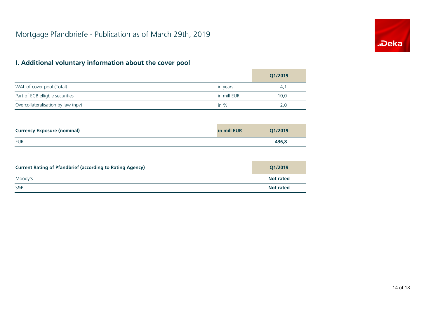

|                                    |             | Q1/2019 |
|------------------------------------|-------------|---------|
| WAL of cover pool (Total)          | in years    | 4.1     |
| Part of ECB elligble securities    | in mill EUR | 10,0    |
| Overcollateralisation by law (npv) | in $%$      | 2,0     |

| <b>Currency Exposure (nominal)</b> | in mill EUR | O1/2019 |
|------------------------------------|-------------|---------|
| EUR                                |             | 436,8   |

| <b>Current Rating of Pfandbrief (according to Rating Agency)</b> | Q1/2019          |
|------------------------------------------------------------------|------------------|
| Moody's                                                          | <b>Not rated</b> |
| <b>S&amp;P</b>                                                   | <b>Not rated</b> |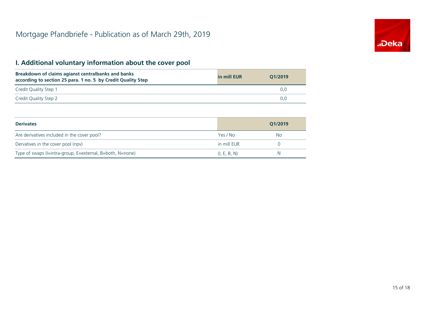

| Breakdown of claims agianst centralbanks and banks<br>according to section 25 para. 1 no. 5 by Credit Quality Step | in mill EUR | O1/2019 |
|--------------------------------------------------------------------------------------------------------------------|-------------|---------|
| Credit Quality Step 1                                                                                              |             | U.C     |
| Credit Quality Step 2                                                                                              |             | O.C     |

| <b>Derivates</b>                                          |              | O1/2019 |
|-----------------------------------------------------------|--------------|---------|
| Are derivatives included in the cover pool?               | Yes / No     | No.     |
| Dervatives in the cover pool (npv)                        | in mill EUR  |         |
| Type of swaps (I=intra-group, E=external, B=both, N=none) | (I, E, B, N) | N       |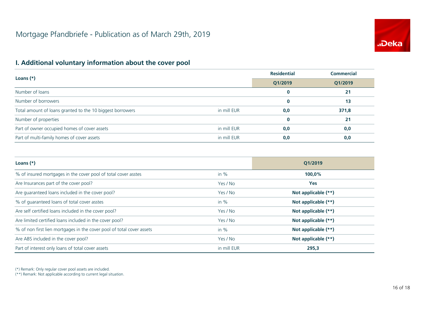

|                                                           | <b>Residential</b> | <b>Commercial</b> |       |
|-----------------------------------------------------------|--------------------|-------------------|-------|
| Loans $(*)$                                               | Q1/2019            | Q1/2019           |       |
| Number of loans                                           |                    | $\bf{0}$          | 21    |
| Number of borrowers                                       |                    | $\bf{0}$          | 13    |
| Total amount of loans granted to the 10 biggest borrowers | in mill EUR        | 0,0               | 371,8 |
| Number of properties                                      |                    | $\bf{0}$          | 21    |
| Part of owner occupied homes of cover assets              | in mill EUR        | 0,0               | 0,0   |
| Part of multi-family homes of cover assets                | in mill EUR        | 0,0               | 0,0   |

| Loans $(*)$                                                           |             | O1/2019             |  |
|-----------------------------------------------------------------------|-------------|---------------------|--|
| % of insured mortgages in the cover pool of total cover asstes        | in $%$      | 100,0%              |  |
| Are Insurances part of the cover pool?                                | Yes / No    | <b>Yes</b>          |  |
| Are guaranteed loans included in the cover pool?                      | Yes / No    | Not applicable (**) |  |
| % of quaranteed loans of total cover asstes                           | in $%$      | Not applicable (**) |  |
| Are self certified loans included in the cover pool?                  | Yes / No    | Not applicable (**) |  |
| Are limited certified loans included in the cover pool?               | Yes / No    | Not applicable (**) |  |
| % of non first lien mortgages in the cover pool of total cover assets | in $%$      | Not applicable (**) |  |
| Are ABS included in the cover pool?                                   | Yes / No    | Not applicable (**) |  |
| Part of interest only loans of total cover assets                     | in mill EUR | 295,3               |  |

(\*) Remark: Only regular cover pool assets are included.

(\*\*) Remark: Not applicable according to current legal situation.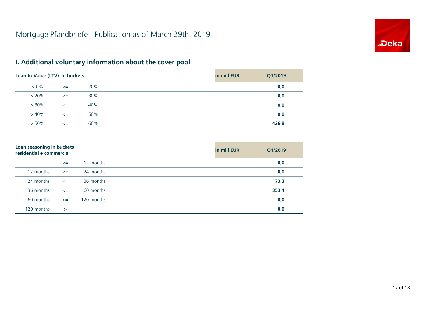

| Loan to Value (LTV) in buckets |        |     | in mill EUR | Q1/2019 |
|--------------------------------|--------|-----|-------------|---------|
| $> 0\%$                        | $\leq$ | 20% |             | 0,0     |
| $> 20\%$                       | $\leq$ | 30% |             | 0,0     |
| $> 30\%$                       | $\leq$ | 40% |             | 0,0     |
| $>40\%$                        | $\leq$ | 50% |             | 0,0     |
| $> 50\%$                       | $\leq$ | 60% |             | 426,8   |

| Loan seasoning in buckets<br>residential + commercial |              |            | in mill EUR | Q1/2019 |
|-------------------------------------------------------|--------------|------------|-------------|---------|
|                                                       | $\leq$       | 12 months  |             | 0,0     |
| 12 months                                             | $\leq$       | 24 months  |             | 0,0     |
| 24 months                                             | $\leq$       | 36 months  |             | 73,3    |
| 36 months                                             | $\leq$       | 60 months  |             | 353,4   |
| 60 months                                             | $\leq$       | 120 months |             | 0,0     |
| 120 months                                            | $\mathbf{I}$ |            |             | 0,0     |